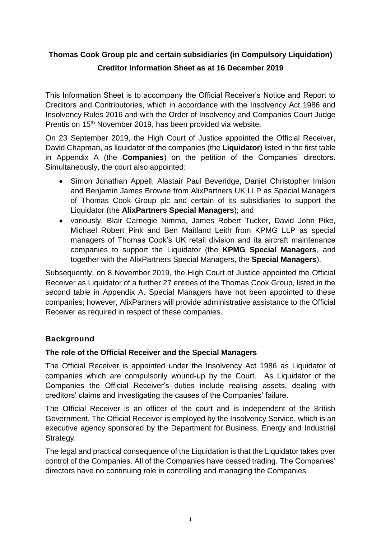# **Thomas Cook Group plc and certain subsidiaries (in Compulsory Liquidation) Creditor Information Sheet as at 16 December 2019**

This Information Sheet is to accompany the Official Receiver's Notice and Report to Creditors and Contributories, which in accordance with the Insolvency Act 1986 and Insolvency Rules 2016 and with the Order of Insolvency and Companies Court Judge Prentis on 15<sup>th</sup> November 2019, has been provided via website.

On 23 September 2019, the High Court of Justice appointed the Official Receiver, David Chapman, as liquidator of the companies (the **Liquidator**) listed in the first table in Appendix A (the **Companies**) on the petition of the Companies' directors. Simultaneously, the court also appointed:

- Simon Jonathan Appell, Alastair Paul Beveridge, Daniel Christopher Imison and Benjamin James Browne from AlixPartners UK LLP as Special Managers of Thomas Cook Group plc and certain of its subsidiaries to support the Liquidator (the **AlixPartners Special Managers**); and
- variously, Blair Carnegie Nimmo, James Robert Tucker, David John Pike, Michael Robert Pink and Ben Maitland Leith from [KPMG LLP](https://www.insolvency-kpmg.co.uk/case+KPMG+TJ92262037.html) as special managers of Thomas Cook's UK retail division and its aircraft maintenance companies to support the Liquidator (the **KPMG Special Managers**, and together with the AlixPartners Special Managers, the **Special Managers**).

Subsequently, on 8 November 2019, the High Court of Justice appointed the Official Receiver as Liquidator of a further 27 entities of the Thomas Cook Group, listed in the second table in Appendix A. Special Managers have not been appointed to these companies; however, AlixPartners will provide administrative assistance to the Official Receiver as required in respect of these companies.

# **Background**

# **The role of the Official Receiver and the Special Managers**

The Official Receiver is appointed under the Insolvency Act 1986 as Liquidator of companies which are compulsorily wound-up by the Court. As Liquidator of the Companies the Official Receiver's duties include realising assets, dealing with creditors' claims and investigating the causes of the Companies' failure.

The Official Receiver is an officer of the court and is independent of the British Government. The Official Receiver is employed by the Insolvency Service, which is an executive agency sponsored by the Department for Business, Energy and Industrial Strategy.

The legal and practical consequence of the Liquidation is that the Liquidator takes over control of the Companies. All of the Companies have ceased trading. The Companies' directors have no continuing role in controlling and managing the Companies.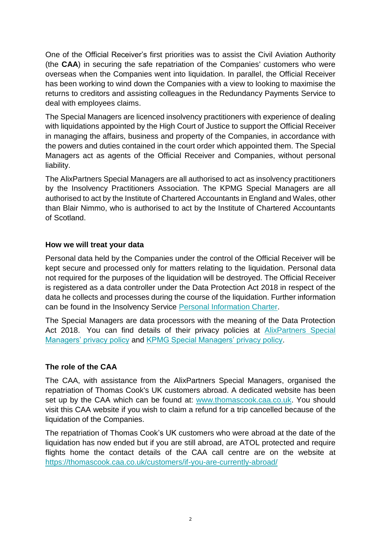One of the Official Receiver's first priorities was to assist the Civil Aviation Authority (the **CAA**) in securing the safe repatriation of the Companies' customers who were overseas when the Companies went into liquidation. In parallel, the Official Receiver has been working to wind down the Companies with a view to looking to maximise the returns to creditors and assisting colleagues in the Redundancy Payments Service to deal with employees claims.

The Special Managers are licenced insolvency practitioners with experience of dealing with liquidations appointed by the High Court of Justice to support the Official Receiver in managing the affairs, business and property of the Companies, in accordance with the powers and duties contained in the court order which appointed them. The Special Managers act as agents of the Official Receiver and Companies, without personal liability.

The AlixPartners Special Managers are all authorised to act as insolvency practitioners by the Insolvency Practitioners Association. The KPMG Special Managers are all authorised to act by the Institute of Chartered Accountants in England and Wales, other than Blair Nimmo, who is authorised to act by the Institute of Chartered Accountants of Scotland.

### **How we will treat your data**

Personal data held by the Companies under the control of the Official Receiver will be kept secure and processed only for matters relating to the liquidation. Personal data not required for the purposes of the liquidation will be destroyed. The Official Receiver is registered as a data controller under the Data Protection Act 2018 in respect of the data he collects and processes during the course of the liquidation. Further information can be found in the Insolvency Service [Personal Information Charter.](https://www.gov.uk/government/organisations/insolvency-service/about/personal-information-charter)

The Special Managers are data processors with the meaning of the Data Protection Act 2018. You can find details of their privacy policies at **AlixPartners** Special [Managers' privacy policy](https://www.tcuk-information.co.uk/documents/special_managers_privacy_nottice_20191002.pdf) and [KPMG Special Managers' privacy policy.](https://home.kpmg/uk/en/home/misc/privacy-policy-insolvency-court-appointments.html)

## **The role of the CAA**

The CAA, with assistance from the AlixPartners Special Managers, organised the repatriation of Thomas Cook's UK customers abroad. A dedicated website has been set up by the CAA which can be found at: [www.thomascook.caa.co.uk.](http://www.thomascook.caa.co.uk/) You should visit this CAA website if you wish to claim a refund for a trip cancelled because of the liquidation of the Companies.

The repatriation of Thomas Cook's UK customers who were abroad at the date of the liquidation has now ended but if you are still abroad, are ATOL protected and require flights home the contact details of the CAA call centre are on the website at <https://thomascook.caa.co.uk/customers/if-you-are-currently-abroad/>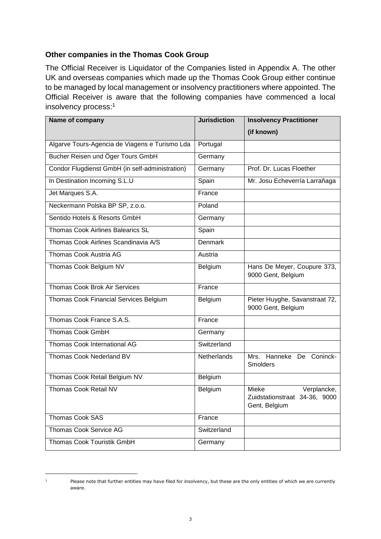### **Other companies in the Thomas Cook Group**

The Official Receiver is Liquidator of the Companies listed in Appendix A. The other UK and overseas companies which made up the Thomas Cook Group either continue to be managed by local management or insolvency practitioners where appointed. The Official Receiver is aware that the following companies have commenced a local insolvency process: 1

| Name of company                                 | <b>Jurisdiction</b> | <b>Insolvency Practitioner</b>                                         |
|-------------------------------------------------|---------------------|------------------------------------------------------------------------|
|                                                 |                     | (if known)                                                             |
| Algarve Tours-Agencia de Viagens e Turismo Lda  | Portugal            |                                                                        |
| Bucher Reisen und Öger Tours GmbH               | Germany             |                                                                        |
| Condor Flugdienst GmbH (in self-administration) | Germany             | Prof. Dr. Lucas Floether                                               |
| In Destination Incoming S.L.U                   | Spain               | Mr. Josu Echeverría Larrañaga                                          |
| Jet Marques S.A.                                | France              |                                                                        |
| Neckermann Polska BP SP, z.o.o.                 | Poland              |                                                                        |
| Sentido Hotels & Resorts GmbH                   | Germany             |                                                                        |
| <b>Thomas Cook Airlines Balearics SL</b>        | Spain               |                                                                        |
| Thomas Cook Airlines Scandinavia A/S            | <b>Denmark</b>      |                                                                        |
| Thomas Cook Austria AG                          | Austria             |                                                                        |
| Thomas Cook Belgium NV                          | Belgium             | Hans De Meyer, Coupure 373,<br>9000 Gent, Belgium                      |
| <b>Thomas Cook Brok Air Services</b>            | France              |                                                                        |
| Thomas Cook Financial Services Belgium          | Belgium             | Pieter Huyghe, Savanstraat 72,<br>9000 Gent, Belgium                   |
| Thomas Cook France S.A.S.                       | France              |                                                                        |
| <b>Thomas Cook GmbH</b>                         | Germany             |                                                                        |
| <b>Thomas Cook International AG</b>             | Switzerland         |                                                                        |
| Thomas Cook Nederland BV                        | <b>Netherlands</b>  | Mrs. Hanneke De<br>Coninck-<br><b>Smolders</b>                         |
| Thomas Cook Retail Belgium NV                   | Belgium             |                                                                        |
| Thomas Cook Retail NV                           | Belgium             | Mieke<br>Verplancke,<br>Zuidstationstraat 34-36, 9000<br>Gent, Belgium |
| <b>Thomas Cook SAS</b>                          | France              |                                                                        |
| <b>Thomas Cook Service AG</b>                   | Switzerland         |                                                                        |
| Thomas Cook Touristik GmbH                      | Germany             |                                                                        |

ł

<sup>1</sup> Please note that further entities may have filed for insolvency, but these are the only entities of which we are currently aware.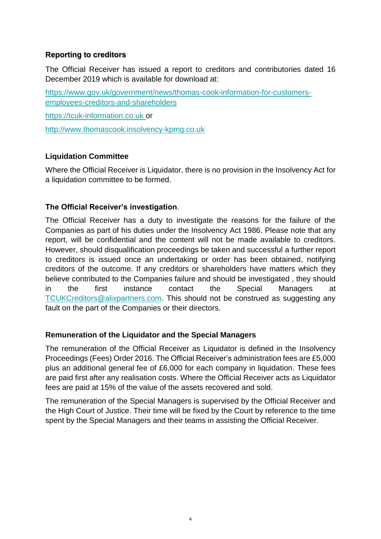### **Reporting to creditors**

The Official Receiver has issued a report to creditors and contributories dated 16 December 2019 which is available for download at:

[https://www.gov.uk/government/news/thomas-cook-information-for-customers](https://urldefense.proofpoint.com/v2/url?u=https-3A__www.gov.uk_government_news_thomas-2Dcook-2Dinformation-2Dfor-2Dcustomers-2Demployees-2Dcreditors-2Dand-2Dshareholders&d=DwMGaQ&c=LbONZuVfeX9r3BKVI3DiW15ySOqOCs2yRrcUdzld8D4&r=9WpWikbre_Dr_6sQuLO67NCzb-8-ijTm2e-dBuf4cHs&m=aeTAN7VBLDtcyCNWJjvk7Wh3ay9NukULMdkzpuSeL6A&s=qETNwoxy8bik4p7LhZAnIq2T7JLAqM5pMJqoFdNuBsY&e=)[employees-creditors-and-shareholders](https://urldefense.proofpoint.com/v2/url?u=https-3A__www.gov.uk_government_news_thomas-2Dcook-2Dinformation-2Dfor-2Dcustomers-2Demployees-2Dcreditors-2Dand-2Dshareholders&d=DwMGaQ&c=LbONZuVfeX9r3BKVI3DiW15ySOqOCs2yRrcUdzld8D4&r=9WpWikbre_Dr_6sQuLO67NCzb-8-ijTm2e-dBuf4cHs&m=aeTAN7VBLDtcyCNWJjvk7Wh3ay9NukULMdkzpuSeL6A&s=qETNwoxy8bik4p7LhZAnIq2T7JLAqM5pMJqoFdNuBsY&e=)

[https://tcuk-information.co.uk](https://tcuk-information.co.uk/) or

[http://www.thomascook.insolvency-kpmg.co.uk](http://www.thomascook.insolvency-kpmg.co.uk/)

### **Liquidation Committee**

Where the Official Receiver is Liquidator, there is no provision in the Insolvency Act for a liquidation committee to be formed.

## **The Official Receiver's investigation**.

The Official Receiver has a duty to investigate the reasons for the failure of the Companies as part of his duties under the Insolvency Act 1986. Please note that any report, will be confidential and the content will not be made available to creditors. However, should disqualification proceedings be taken and successful a further report to creditors is issued once an undertaking or order has been obtained, notifying creditors of the outcome. If any creditors or shareholders have matters which they believe contributed to the Companies failure and should be investigated , they should in the first instance contact the Special Managers at [TCUKCreditors@alixpartners.com.](mailto:TCUKCreditors@alixpartners.com) This should not be construed as suggesting any fault on the part of the Companies or their directors.

#### **Remuneration of the Liquidator and the Special Managers**

The remuneration of the Official Receiver as Liquidator is defined in the Insolvency Proceedings (Fees) Order 2016. The Official Receiver's administration fees are £5,000 plus an additional general fee of £6,000 for each company in liquidation. These fees are paid first after any realisation costs. Where the Official Receiver acts as Liquidator fees are paid at 15% of the value of the assets recovered and sold.

The remuneration of the Special Managers is supervised by the Official Receiver and the High Court of Justice. Their time will be fixed by the Court by reference to the time spent by the Special Managers and their teams in assisting the Official Receiver.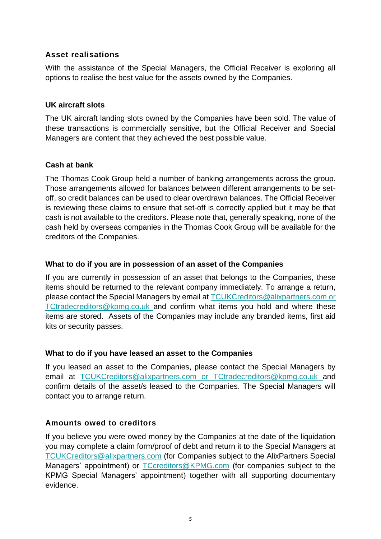### **Asset realisations**

With the assistance of the Special Managers, the Official Receiver is exploring all options to realise the best value for the assets owned by the Companies.

#### **UK aircraft slots**

The UK aircraft landing slots owned by the Companies have been sold. The value of these transactions is commercially sensitive, but the Official Receiver and Special Managers are content that they achieved the best possible value.

## **Cash at bank**

The Thomas Cook Group held a number of banking arrangements across the group. Those arrangements allowed for balances between different arrangements to be setoff, so credit balances can be used to clear overdrawn balances. The Official Receiver is reviewing these claims to ensure that set-off is correctly applied but it may be that cash is not available to the creditors. Please note that, generally speaking, none of the cash held by overseas companies in the Thomas Cook Group will be available for the creditors of the Companies.

### **What to do if you are in possession of an asset of the Companies**

If you are currently in possession of an asset that belongs to the Companies, these items should be returned to the relevant company immediately. To arrange a return, please contact the Special Managers by email at [TCUKCreditors@alixpartners.com](mailto:TCUKCreditors@alixpartners.com) or [TCtradecreditors@kpmg.co.uk](mailto:TCtradecreditors@kpmg.co.uk) and confirm what items you hold and where these items are stored. Assets of the Companies may include any branded items, first aid kits or security passes.

#### **What to do if you have leased an asset to the Companies**

If you leased an asset to the Companies, please contact the Special Managers by email at [TCUKCreditors@alixpartners.com](mailto:TCUKCreditors@alixpartners.com) or [TCtradecreditors@kpmg.co.uk](mailto:TCtradecreditors@kpmg.co.uk) and confirm details of the asset/s leased to the Companies. The Special Managers will contact you to arrange return.

## **Amounts owed to creditors**

If you believe you were owed money by the Companies at the date of the liquidation you may complete a claim form/proof of debt and return it to the Special Managers at [TCUKCreditors@alixpartners.com](mailto:TCUKCreditors@alixpartners.com) (for Companies subject to the AlixPartners Special Managers' appointment) or [TCcreditors@KPMG.com](mailto:TCcreditors@KPMG.com) (for companies subject to the KPMG Special Managers' appointment) together with all supporting documentary evidence.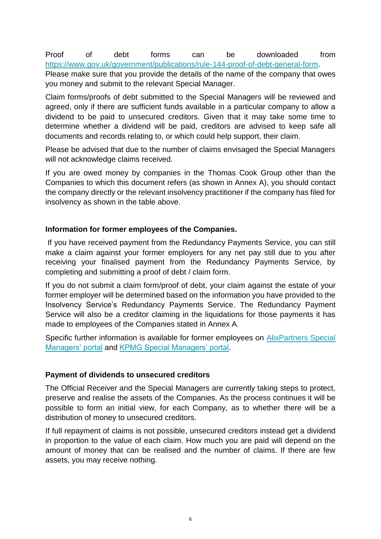Proof of debt forms can be downloaded from [https://www.gov.uk/government/publications/rule-144-proof-of-debt-general-form.](https://www.gov.uk/government/publications/rule-144-proof-of-debt-general-form)

Please make sure that you provide the details of the name of the company that owes you money and submit to the relevant Special Manager.

Claim forms/proofs of debt submitted to the Special Managers will be reviewed and agreed, only if there are sufficient funds available in a particular company to allow a dividend to be paid to unsecured creditors. Given that it may take some time to determine whether a dividend will be paid, creditors are advised to keep safe all documents and records relating to, or which could help support, their claim.

Please be advised that due to the number of claims envisaged the Special Managers will not acknowledge claims received.

If you are owed money by companies in the Thomas Cook Group other than the Companies to which this document refers (as shown in Annex A), you should contact the company directly or the relevant insolvency practitioner if the company has filed for insolvency as shown in the table above.

## **Information for former employees of the Companies.**

If you have received payment from the Redundancy Payments Service, you can still make a claim against your former employers for any net pay still due to you after receiving your finalised payment from the Redundancy Payments Service, by completing and submitting a proof of debt / claim form.

If you do not submit a claim form/proof of debt, your claim against the estate of your former employer will be determined based on the information you have provided to the Insolvency Service's Redundancy Payments Service. The Redundancy Payment Service will also be a creditor claiming in the liquidations for those payments it has made to employees of the Companies stated in Annex A.

Specific further information is available for former employees on **AlixPartners** Special [Managers' portal](https://www.tcuk-information.co.uk/employeeinfo.html) and [KPMG Special Managers' portal.](https://www.insolvency-kpmg.co.uk/case+KPMG+TJ92262037.html)

## **Payment of dividends to unsecured creditors**

The Official Receiver and the Special Managers are currently taking steps to protect, preserve and realise the assets of the Companies. As the process continues it will be possible to form an initial view, for each Company, as to whether there will be a distribution of money to unsecured creditors.

If full repayment of claims is not possible, unsecured creditors instead get a dividend in proportion to the value of each claim. How much you are paid will depend on the amount of money that can be realised and the number of claims. If there are few assets, you may receive nothing.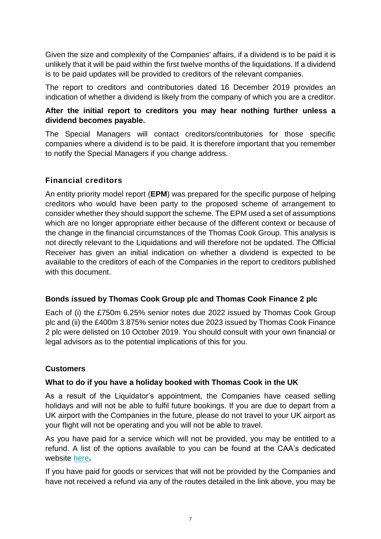Given the size and complexity of the Companies' affairs, if a dividend is to be paid it is unlikely that it will be paid within the first twelve months of the liquidations. If a dividend is to be paid updates will be provided to creditors of the relevant companies.

The report to creditors and contributories dated 16 December 2019 provides an indication of whether a dividend is likely from the company of which you are a creditor.

# **After the initial report to creditors you may hear nothing further unless a dividend becomes payable.**

The Special Managers will contact creditors/contributories for those specific companies where a dividend is to be paid. It is therefore important that you remember to notify the Special Managers if you change address.

## **Financial creditors**

An entity priority model report (**EPM**) was prepared for the specific purpose of helping creditors who would have been party to the proposed scheme of arrangement to consider whether they should support the scheme. The EPM used a set of assumptions which are no longer appropriate either because of the different context or because of the change in the financial circumstances of the Thomas Cook Group. This analysis is not directly relevant to the Liquidations and will therefore not be updated. The Official Receiver has given an initial indication on whether a dividend is expected to be available to the creditors of each of the Companies in the report to creditors published with this document.

## **Bonds issued by Thomas Cook Group plc and Thomas Cook Finance 2 plc**

Each of (i) the £750m 6.25% senior notes due 2022 issued by Thomas Cook Group plc and (ii) the £400m 3.875% senior notes due 2023 issued by Thomas Cook Finance 2 plc were delisted on 10 October 2019. You should consult with your own financial or legal advisors as to the potential implications of this for you.

# **Customers**

# **What to do if you have a holiday booked with Thomas Cook in the UK**

As a result of the Liquidator's appointment, the Companies have ceased selling holidays and will not be able to fulfil future bookings. If you are due to depart from a UK airport with the Companies in the future, please do not travel to your UK airport as your flight will not be operating and you will not be able to travel.

As you have paid for a service which will not be provided, you may be entitled to a refund. A list of the options available to you can be found at the CAA's dedicated website [here](https://thomascook.caa.co.uk/customers/if-you-have-a-future-booking-and-have-not-traveled-yet/)**.**

If you have paid for goods or services that will not be provided by the Companies and have not received a refund via any of the routes detailed in the link above, you may be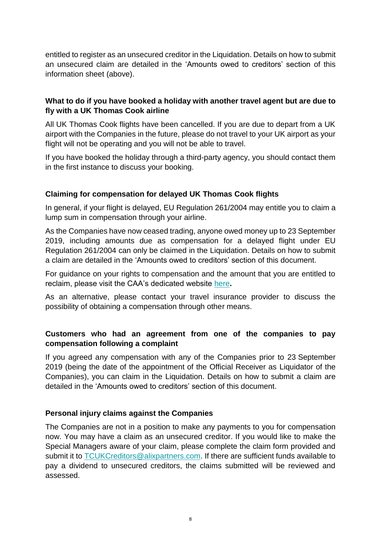entitled to register as an unsecured creditor in the Liquidation. Details on how to submit an unsecured claim are detailed in the 'Amounts owed to creditors' section of this information sheet (above).

### **What to do if you have booked a holiday with another travel agent but are due to fly with a UK Thomas Cook airline**

All UK Thomas Cook flights have been cancelled. If you are due to depart from a UK airport with the Companies in the future, please do not travel to your UK airport as your flight will not be operating and you will not be able to travel.

If you have booked the holiday through a third-party agency, you should contact them in the first instance to discuss your booking.

## **Claiming for compensation for delayed UK Thomas Cook flights**

In general, if your flight is delayed, EU Regulation 261/2004 may entitle you to claim a lump sum in compensation through your airline.

As the Companies have now ceased trading, anyone owed money up to 23 September 2019, including amounts due as compensation for a delayed flight under EU Regulation 261/2004 can only be claimed in the Liquidation. Details on how to submit a claim are detailed in the 'Amounts owed to creditors' section of this document.

For guidance on your rights to compensation and the amount that you are entitled to reclaim, please visit the CAA's dedicated website [here](https://www.caa.co.uk/Passengers/Resolving-travel-problems/Delays-cancellations/Delays/Flight-Delays/)**.**

As an alternative, please contact your travel insurance provider to discuss the possibility of obtaining a compensation through other means.

# **Customers who had an agreement from one of the companies to pay compensation following a complaint**

If you agreed any compensation with any of the Companies prior to 23 September 2019 (being the date of the appointment of the Official Receiver as Liquidator of the Companies), you can claim in the Liquidation. Details on how to submit a claim are detailed in the 'Amounts owed to creditors' section of this document.

## **Personal injury claims against the Companies**

The Companies are not in a position to make any payments to you for compensation now. You may have a claim as an unsecured creditor. If you would like to make the Special Managers aware of your claim, please complete the claim form provided and submit it to [TCUKCreditors@alixpartners.com.](mailto:TCUKCreditors@alixpartners.com) If there are sufficient funds available to pay a dividend to unsecured creditors, the claims submitted will be reviewed and assessed.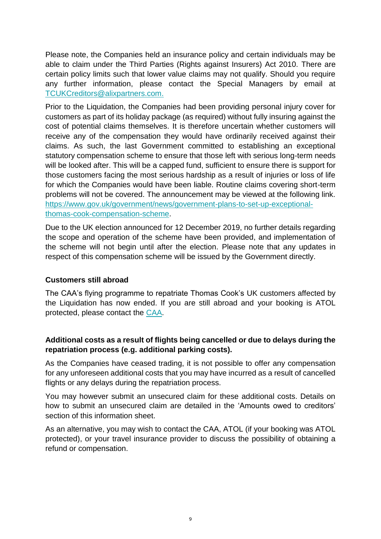Please note, the Companies held an insurance policy and certain individuals may be able to claim under the Third Parties (Rights against Insurers) Act 2010. There are certain policy limits such that lower value claims may not qualify. Should you require any further information, please contact the Special Managers by email at [TCUKCreditors@alixpartners.com.](mailto:TCUKCreditors@alixpartners.com)

Prior to the Liquidation, the Companies had been providing personal injury cover for customers as part of its holiday package (as required) without fully insuring against the cost of potential claims themselves. It is therefore uncertain whether customers will receive any of the compensation they would have ordinarily received against their claims. As such, the last Government committed to establishing an exceptional statutory compensation scheme to ensure that those left with serious long-term needs will be looked after. This will be a capped fund, sufficient to ensure there is support for those customers facing the most serious hardship as a result of injuries or loss of life for which the Companies would have been liable. Routine claims covering short-term problems will not be covered. The announcement may be viewed at the following link. [https://www.gov.uk/government/news/government-plans-to-set-up-exceptional](https://www.gov.uk/government/news/government-plans-to-set-up-exceptional-thomas-cook-compensation-scheme)[thomas-cook-compensation-scheme.](https://www.gov.uk/government/news/government-plans-to-set-up-exceptional-thomas-cook-compensation-scheme)

Due to the UK election announced for 12 December 2019, no further details regarding the scope and operation of the scheme have been provided, and implementation of the scheme will not begin until after the election. Please note that any updates in respect of this compensation scheme will be issued by the Government directly.

## **Customers still abroad**

The CAA's flying programme to repatriate Thomas Cook's UK customers affected by the Liquidation has now ended. If you are still abroad and your booking is ATOL protected, please contact the [CAA.](https://thomascook.caa.co.uk/customers/if-you-are-currently-abroad/)

# **Additional costs as a result of flights being cancelled or due to delays during the repatriation process (e.g. additional parking costs).**

As the Companies have ceased trading, it is not possible to offer any compensation for any unforeseen additional costs that you may have incurred as a result of cancelled flights or any delays during the repatriation process.

You may however submit an unsecured claim for these additional costs. Details on how to submit an unsecured claim are detailed in the 'Amounts owed to creditors' section of this information sheet.

As an alternative, you may wish to contact the CAA, ATOL (if your booking was ATOL protected), or your travel insurance provider to discuss the possibility of obtaining a refund or compensation.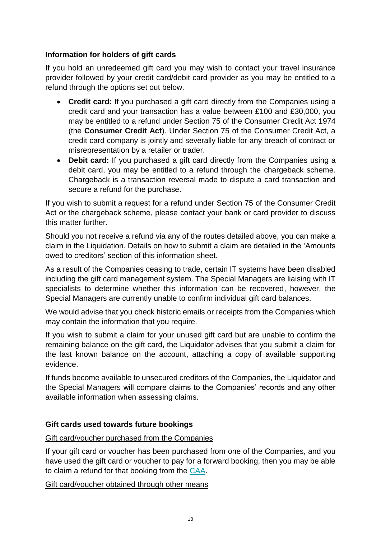## **Information for holders of gift cards**

If you hold an unredeemed gift card you may wish to contact your travel insurance provider followed by your credit card/debit card provider as you may be entitled to a refund through the options set out below.

- **Credit card:** If you purchased a gift card directly from the Companies using a credit card and your transaction has a value between £100 and £30,000, you may be entitled to a refund under Section 75 of the Consumer Credit Act 1974 (the **Consumer Credit Act**). Under Section 75 of the Consumer Credit Act, a credit card company is jointly and severally liable for any breach of contract or misrepresentation by a retailer or trader.
- **Debit card:** If you purchased a gift card directly from the Companies using a debit card, you may be entitled to a refund through the chargeback scheme. Chargeback is a transaction reversal made to dispute a card transaction and secure a refund for the purchase.

If you wish to submit a request for a refund under Section 75 of the Consumer Credit Act or the chargeback scheme, please contact your bank or card provider to discuss this matter further.

Should you not receive a refund via any of the routes detailed above, you can make a claim in the Liquidation. Details on how to submit a claim are detailed in the 'Amounts owed to creditors' section of this information sheet.

As a result of the Companies ceasing to trade, certain IT systems have been disabled including the gift card management system. The Special Managers are liaising with IT specialists to determine whether this information can be recovered, however, the Special Managers are currently unable to confirm individual gift card balances.

We would advise that you check historic emails or receipts from the Companies which may contain the information that you require.

If you wish to submit a claim for your unused gift card but are unable to confirm the remaining balance on the gift card, the Liquidator advises that you submit a claim for the last known balance on the account, attaching a copy of available supporting evidence.

If funds become available to unsecured creditors of the Companies, the Liquidator and the Special Managers will compare claims to the Companies' records and any other available information when assessing claims.

# **Gift cards used towards future bookings**

## Gift card/voucher purchased from the Companies

If your gift card or voucher has been purchased from one of the Companies, and you have used the gift card or voucher to pay for a forward booking, then you may be able to claim a refund for that booking from the [CAA.](https://thomascook.caa.co.uk/customers/if-you-have-a-future-booking-and-have-not-travelled-yet/)

Gift card/voucher obtained through other means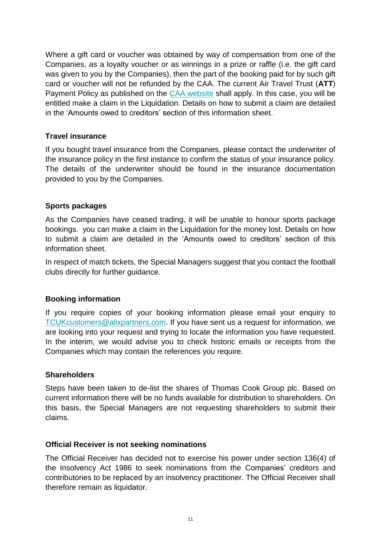Where a gift card or voucher was obtained by way of compensation from one of the Companies, as a loyalty voucher or as winnings in a prize or raffle (i.e. the gift card was given to you by the Companies), then the part of the booking paid for by such gift card or voucher will not be refunded by the CAA. The current Air Travel Trust (**ATT**) Payment Policy as published on the [CAA website](https://www.caa.co.uk/ATOL-protection/Air-travel-trust/About-the-Air-Travel-Trust/) shall apply. In this case, you will be entitled make a claim in the Liquidation. Details on how to submit a claim are detailed in the 'Amounts owed to creditors' section of this information sheet.

### **Travel insurance**

If you bought travel insurance from the Companies, please contact the underwriter of the insurance policy in the first instance to confirm the status of your insurance policy. The details of the underwriter should be found in the insurance documentation provided to you by the Companies.

### **Sports packages**

As the Companies have ceased trading, it will be unable to honour sports package bookings. you can make a claim in the Liquidation for the money lost. Details on how to submit a claim are detailed in the 'Amounts owed to creditors' section of this information sheet.

In respect of match tickets, the Special Managers suggest that you contact the football clubs directly for further guidance.

#### **Booking information**

If you require copies of your booking information please email your enquiry to [TCUKcustomers@alixpartners.com.](mailto:TCUKcustomers@alixpartners.com) If you have sent us a request for information, we are looking into your request and trying to locate the information you have requested. In the interim, we would advise you to check historic emails or receipts from the Companies which may contain the references you require.

#### **Shareholders**

Steps have been taken to de-list the shares of Thomas Cook Group plc. Based on current information there will be no funds available for distribution to shareholders. On this basis, the Special Managers are not requesting shareholders to submit their claims.

#### **Official Receiver is not seeking nominations**

The Official Receiver has decided not to exercise his power under section 136(4) of the Insolvency Act 1986 to seek nominations from the Companies' creditors and contributories to be replaced by an insolvency practitioner. The Official Receiver shall therefore remain as liquidator.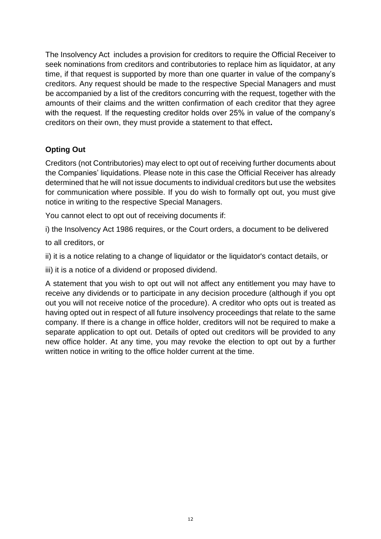The Insolvency Act includes a provision for creditors to require the Official Receiver to seek nominations from creditors and contributories to replace him as liquidator, at any time, if that request is supported by more than one quarter in value of the company's creditors. Any request should be made to the respective Special Managers and must be accompanied by a list of the creditors concurring with the request, together with the amounts of their claims and the written confirmation of each creditor that they agree with the request. If the requesting creditor holds over 25% in value of the company's creditors on their own, they must provide a statement to that effect**.**

# **Opting Out**

Creditors (not Contributories) may elect to opt out of receiving further documents about the Companies' liquidations. Please note in this case the Official Receiver has already determined that he will not issue documents to individual creditors but use the websites for communication where possible. If you do wish to formally opt out, you must give notice in writing to the respective Special Managers.

You cannot elect to opt out of receiving documents if:

i) the Insolvency Act 1986 requires, or the Court orders, a document to be delivered

to all creditors, or

ii) it is a notice relating to a change of liquidator or the liquidator's contact details, or

iii) it is a notice of a dividend or proposed dividend.

A statement that you wish to opt out will not affect any entitlement you may have to receive any dividends or to participate in any decision procedure (although if you opt out you will not receive notice of the procedure). A creditor who opts out is treated as having opted out in respect of all future insolvency proceedings that relate to the same company. If there is a change in office holder, creditors will not be required to make a separate application to opt out. Details of opted out creditors will be provided to any new office holder. At any time, you may revoke the election to opt out by a further written notice in writing to the office holder current at the time.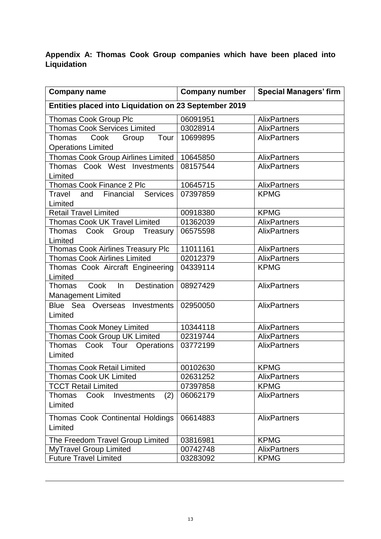# **Appendix A: Thomas Cook Group companies which have been placed into Liquidation**

| <b>Company name</b>                                   | <b>Company number</b> | <b>Special Managers' firm</b> |  |
|-------------------------------------------------------|-----------------------|-------------------------------|--|
| Entities placed into Liquidation on 23 September 2019 |                       |                               |  |
| <b>Thomas Cook Group Plc</b>                          | 06091951              | <b>AlixPartners</b>           |  |
| <b>Thomas Cook Services Limited</b>                   | 03028914              | <b>AlixPartners</b>           |  |
| Cook<br>Tour  <br>Thomas<br>Group                     | 10699895              | <b>AlixPartners</b>           |  |
| <b>Operations Limited</b>                             |                       |                               |  |
| Thomas Cook Group Airlines Limited                    | 10645850              | <b>AlixPartners</b>           |  |
| Thomas Cook West Investments                          | 08157544              | <b>AlixPartners</b>           |  |
| Limited                                               |                       |                               |  |
| Thomas Cook Finance 2 Plc                             | 10645715              | <b>AlixPartners</b>           |  |
| <b>Services</b><br>Travel<br>Financial<br>and         | 07397859              | <b>KPMG</b>                   |  |
| Limited                                               |                       |                               |  |
| <b>Retail Travel Limited</b>                          | 00918380              | <b>KPMG</b>                   |  |
| <b>Thomas Cook UK Travel Limited</b>                  | 01362039              | <b>AlixPartners</b>           |  |
| Treasury<br>Cook<br>Group<br>Thomas                   | 06575598              | <b>AlixPartners</b>           |  |
| Limited                                               |                       |                               |  |
| Thomas Cook Airlines Treasury Plc                     | 11011161              | <b>AlixPartners</b>           |  |
| <b>Thomas Cook Airlines Limited</b>                   | 02012379              | AlixPartners                  |  |
| Thomas Cook Aircraft Engineering                      | 04339114              | <b>KPMG</b>                   |  |
| Limited                                               |                       |                               |  |
| Cook<br><b>Destination</b><br><b>Thomas</b><br>In     | 08927429              | <b>AlixPartners</b>           |  |
| <b>Management Limited</b>                             |                       |                               |  |
| Blue Sea Overseas<br>Investments                      | 02950050              | <b>AlixPartners</b>           |  |
| Limited                                               |                       |                               |  |
| <b>Thomas Cook Money Limited</b>                      | 10344118              | <b>AlixPartners</b>           |  |
| <b>Thomas Cook Group UK Limited</b>                   | 02319744              | <b>AlixPartners</b>           |  |
| Cook Tour<br><b>Operations</b><br>Thomas              | 03772199              | <b>AlixPartners</b>           |  |
| Limited                                               |                       |                               |  |
| <b>Thomas Cook Retail Limited</b>                     | 00102630              | <b>KPMG</b>                   |  |
| <b>Thomas Cook UK Limited</b>                         | 02631252              | <b>AlixPartners</b>           |  |
| <b>TCCT Retail Limited</b>                            | 07397858              | <b>KPMG</b>                   |  |
| (2)<br><b>Thomas</b><br>Cook<br>Investments           | 06062179              | <b>AlixPartners</b>           |  |
| Limited                                               |                       |                               |  |
|                                                       |                       |                               |  |
| Thomas Cook Continental Holdings                      | 06614883              | <b>AlixPartners</b>           |  |
| Limited                                               |                       |                               |  |
| The Freedom Travel Group Limited                      | 03816981              | <b>KPMG</b>                   |  |
| <b>MyTravel Group Limited</b>                         | 00742748              | <b>AlixPartners</b>           |  |
| <b>Future Travel Limited</b>                          | 03283092              | <b>KPMG</b>                   |  |